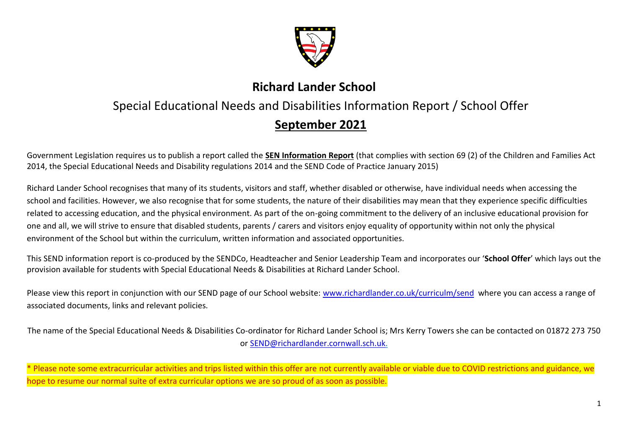

# **Richard Lander School**

# Special Educational Needs and Disabilities Information Report / School Offer

# **September 2021**

Government Legislation requires us to publish a report called the **SEN Information Report** (that complies with section 69 (2) of the Children and Families Act 2014, the Special Educational Needs and Disability regulations 2014 and the SEND Code of Practice January 2015)

Richard Lander School recognises that many of its students, visitors and staff, whether disabled or otherwise, have individual needs when accessing the school and facilities. However, we also recognise that for some students, the nature of their disabilities may mean that they experience specific difficulties related to accessing education, and the physical environment. As part of the on-going commitment to the delivery of an inclusive educational provision for one and all, we will strive to ensure that disabled students, parents / carers and visitors enjoy equality of opportunity within not only the physical environment of the School but within the curriculum, written information and associated opportunities.

This SEND information report is co-produced by the SENDCo, Headteacher and Senior Leadership Team and incorporates our '**School Offer**' which lays out the provision available for students with Special Educational Needs & Disabilities at Richard Lander School.

Please view this report in conjunction with our SEND page of our School website: [www.richardlander.co.uk/curriculm/send](http://www.richardlander.co.uk/curriculm/send) where you can access a range of associated documents, links and relevant policies.

The name of the Special Educational Needs & Disabilities Co-ordinator for Richard Lander School is; Mrs Kerry Towers she can be contacted on 01872 273 750 or [SEND@richardlander.cornwall.sch.uk.](mailto:SEND@richardlander.cornwall.sch.uk)

\* Please note some extracurricular activities and trips listed within this offer are not currently available or viable due to COVID restrictions and guidance, we hope to resume our normal suite of extra curricular options we are so proud of as soon as possible.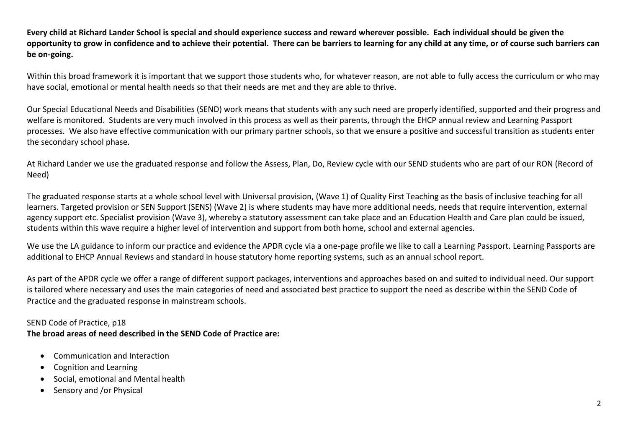**Every child at Richard Lander School is special and should experience success and reward wherever possible. Each individual should be given the opportunity to grow in confidence and to achieve their potential. There can be barriers to learning for any child at any time, or of course such barriers can be on-going.**

Within this broad framework it is important that we support those students who, for whatever reason, are not able to fully access the curriculum or who may have social, emotional or mental health needs so that their needs are met and they are able to thrive.

Our Special Educational Needs and Disabilities (SEND) work means that students with any such need are properly identified, supported and their progress and welfare is monitored. Students are very much involved in this process as well as their parents, through the EHCP annual review and Learning Passport processes. We also have effective communication with our primary partner schools, so that we ensure a positive and successful transition as students enter the secondary school phase.

At Richard Lander we use the graduated response and follow the Assess, Plan, Do, Review cycle with our SEND students who are part of our RON (Record of Need)

The graduated response starts at a whole school level with Universal provision, (Wave 1) of Quality First Teaching as the basis of inclusive teaching for all learners. Targeted provision or SEN Support (SENS) (Wave 2) is where students may have more additional needs, needs that require intervention, external agency support etc. Specialist provision (Wave 3), whereby a statutory assessment can take place and an Education Health and Care plan could be issued, students within this wave require a higher level of intervention and support from both home, school and external agencies.

We use the LA guidance to inform our practice and evidence the APDR cycle via a one-page profile we like to call a Learning Passport. Learning Passports are additional to EHCP Annual Reviews and standard in house statutory home reporting systems, such as an annual school report.

As part of the APDR cycle we offer a range of different support packages, interventions and approaches based on and suited to individual need. Our support is tailored where necessary and uses the main categories of need and associated best practice to support the need as describe within the SEND Code of Practice and the graduated response in mainstream schools.

SEND Code of Practice, p18

**The broad areas of need described in the SEND Code of Practice are:**

- Communication and Interaction
- Cognition and Learning
- Social, emotional and Mental health
- Sensory and /or Physical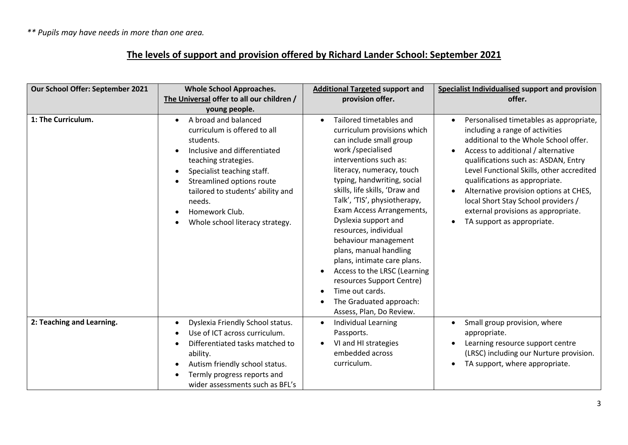*\*\* Pupils may have needs in more than one area.*

# **The levels of support and provision offered by Richard Lander School: September 2021**

| Our School Offer: September 2021 | <b>Whole School Approaches.</b>                                                                                                                                                                                                                                                                         | <b>Additional Targeted support and</b>                                                                                                                                                                                                                                                                                                                                                                                                                                                                                                    | Specialist Individualised support and provision                                                                                                                                                                                                                                                                                                                                                                       |
|----------------------------------|---------------------------------------------------------------------------------------------------------------------------------------------------------------------------------------------------------------------------------------------------------------------------------------------------------|-------------------------------------------------------------------------------------------------------------------------------------------------------------------------------------------------------------------------------------------------------------------------------------------------------------------------------------------------------------------------------------------------------------------------------------------------------------------------------------------------------------------------------------------|-----------------------------------------------------------------------------------------------------------------------------------------------------------------------------------------------------------------------------------------------------------------------------------------------------------------------------------------------------------------------------------------------------------------------|
|                                  | The Universal offer to all our children /                                                                                                                                                                                                                                                               | provision offer.                                                                                                                                                                                                                                                                                                                                                                                                                                                                                                                          | offer.                                                                                                                                                                                                                                                                                                                                                                                                                |
| 1: The Curriculum.               | young people.<br>A broad and balanced<br>$\bullet$                                                                                                                                                                                                                                                      | Tailored timetables and<br>$\bullet$                                                                                                                                                                                                                                                                                                                                                                                                                                                                                                      | Personalised timetables as appropriate,<br>$\bullet$                                                                                                                                                                                                                                                                                                                                                                  |
|                                  | curriculum is offered to all<br>students.<br>Inclusive and differentiated<br>teaching strategies.<br>Specialist teaching staff.<br>$\bullet$<br>Streamlined options route<br>$\bullet$<br>tailored to students' ability and<br>needs.<br>Homework Club.<br>Whole school literacy strategy.<br>$\bullet$ | curriculum provisions which<br>can include small group<br>work /specialised<br>interventions such as:<br>literacy, numeracy, touch<br>typing, handwriting, social<br>skills, life skills, 'Draw and<br>Talk', 'TIS', physiotherapy,<br>Exam Access Arrangements,<br>Dyslexia support and<br>resources, individual<br>behaviour management<br>plans, manual handling<br>plans, intimate care plans.<br>Access to the LRSC (Learning<br>resources Support Centre)<br>Time out cards.<br>The Graduated approach:<br>Assess, Plan, Do Review. | including a range of activities<br>additional to the Whole School offer.<br>Access to additional / alternative<br>$\bullet$<br>qualifications such as: ASDAN, Entry<br>Level Functional Skills, other accredited<br>qualifications as appropriate.<br>Alternative provision options at CHES,<br>$\bullet$<br>local Short Stay School providers /<br>external provisions as appropriate.<br>TA support as appropriate. |
| 2: Teaching and Learning.        | Dyslexia Friendly School status.<br>$\bullet$                                                                                                                                                                                                                                                           | <b>Individual Learning</b><br>$\bullet$                                                                                                                                                                                                                                                                                                                                                                                                                                                                                                   | Small group provision, where<br>$\bullet$                                                                                                                                                                                                                                                                                                                                                                             |
|                                  | Use of ICT across curriculum.                                                                                                                                                                                                                                                                           | Passports.                                                                                                                                                                                                                                                                                                                                                                                                                                                                                                                                | appropriate.                                                                                                                                                                                                                                                                                                                                                                                                          |
|                                  | Differentiated tasks matched to                                                                                                                                                                                                                                                                         | VI and HI strategies<br>embedded across                                                                                                                                                                                                                                                                                                                                                                                                                                                                                                   | Learning resource support centre                                                                                                                                                                                                                                                                                                                                                                                      |
|                                  | ability.                                                                                                                                                                                                                                                                                                | curriculum.                                                                                                                                                                                                                                                                                                                                                                                                                                                                                                                               | (LRSC) including our Nurture provision.<br>TA support, where appropriate.<br>$\bullet$                                                                                                                                                                                                                                                                                                                                |
|                                  | Autism friendly school status.<br>$\bullet$<br>Termly progress reports and                                                                                                                                                                                                                              |                                                                                                                                                                                                                                                                                                                                                                                                                                                                                                                                           |                                                                                                                                                                                                                                                                                                                                                                                                                       |
|                                  | wider assessments such as BFL's                                                                                                                                                                                                                                                                         |                                                                                                                                                                                                                                                                                                                                                                                                                                                                                                                                           |                                                                                                                                                                                                                                                                                                                                                                                                                       |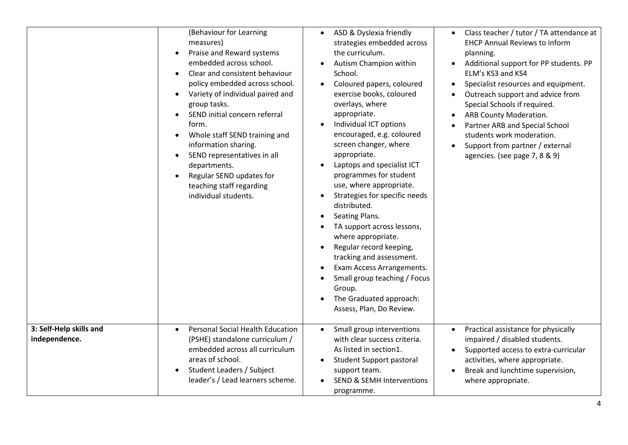|                                          | (Behaviour for Learning<br>measures)<br>Praise and Reward systems<br>$\bullet$<br>embedded across school.<br>Clear and consistent behaviour<br>policy embedded across school.<br>Variety of individual paired and<br>$\bullet$<br>group tasks.<br>SEND initial concern referral<br>form.<br>Whole staff SEND training and<br>$\bullet$<br>information sharing.<br>SEND representatives in all<br>$\bullet$<br>departments.<br>Regular SEND updates for<br>teaching staff regarding<br>individual students. | ASD & Dyslexia friendly<br>$\bullet$<br>strategies embedded across<br>the curriculum.<br>Autism Champion within<br>School.<br>Coloured papers, coloured<br>exercise books, coloured<br>overlays, where<br>appropriate.<br>Individual ICT options<br>encouraged, e.g. coloured<br>screen changer, where<br>appropriate.<br>Laptops and specialist ICT<br>$\bullet$<br>programmes for student<br>use, where appropriate.<br>Strategies for specific needs<br>$\bullet$<br>distributed.<br>Seating Plans.<br>$\bullet$<br>TA support across lessons,<br>where appropriate.<br>Regular record keeping,<br>$\bullet$<br>tracking and assessment.<br>Exam Access Arrangements.<br>Small group teaching / Focus<br>Group.<br>The Graduated approach:<br>Assess, Plan, Do Review. | Class teacher / tutor / TA attendance at<br>$\bullet$<br><b>EHCP Annual Reviews to inform</b><br>planning.<br>Additional support for PP students. PP<br>ELM's KS3 and KS4<br>Specialist resources and equipment.<br>Outreach support and advice from<br>Special Schools if required.<br>ARB County Moderation.<br>Partner ARB and Special School<br>students work moderation.<br>Support from partner / external<br>agencies. (see page 7, 8 & 9) |
|------------------------------------------|------------------------------------------------------------------------------------------------------------------------------------------------------------------------------------------------------------------------------------------------------------------------------------------------------------------------------------------------------------------------------------------------------------------------------------------------------------------------------------------------------------|---------------------------------------------------------------------------------------------------------------------------------------------------------------------------------------------------------------------------------------------------------------------------------------------------------------------------------------------------------------------------------------------------------------------------------------------------------------------------------------------------------------------------------------------------------------------------------------------------------------------------------------------------------------------------------------------------------------------------------------------------------------------------|---------------------------------------------------------------------------------------------------------------------------------------------------------------------------------------------------------------------------------------------------------------------------------------------------------------------------------------------------------------------------------------------------------------------------------------------------|
| 3: Self-Help skills and<br>independence. | <b>Personal Social Health Education</b><br>$\bullet$<br>(PSHE) standalone curriculum /<br>embedded across all curriculum<br>areas of school.<br>Student Leaders / Subject<br>$\bullet$<br>leader's / Lead learners scheme.                                                                                                                                                                                                                                                                                 | Small group interventions<br>$\bullet$<br>with clear success criteria.<br>As listed in section1.<br><b>Student Support pastoral</b><br>$\bullet$<br>support team.<br><b>SEND &amp; SEMH Interventions</b><br>programme.                                                                                                                                                                                                                                                                                                                                                                                                                                                                                                                                                   | Practical assistance for physically<br>$\bullet$<br>impaired / disabled students.<br>Supported access to extra-curricular<br>activities, where appropriate.<br>Break and lunchtime supervision,<br>where appropriate.                                                                                                                                                                                                                             |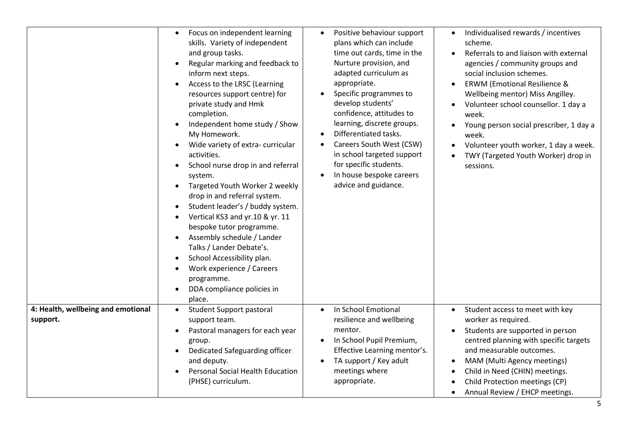|                                                | Focus on independent learning<br>skills. Variety of independent<br>and group tasks.<br>Regular marking and feedback to<br>inform next steps.<br>Access to the LRSC (Learning<br>resources support centre) for<br>private study and Hmk<br>completion.<br>Independent home study / Show<br>My Homework.<br>Wide variety of extra-curricular<br>activities.<br>School nurse drop in and referral<br>system.<br>Targeted Youth Worker 2 weekly<br>drop in and referral system.<br>Student leader's / buddy system.<br>$\bullet$<br>Vertical KS3 and yr.10 & yr. 11<br>$\bullet$<br>bespoke tutor programme.<br>Assembly schedule / Lander<br>Talks / Lander Debate's.<br>School Accessibility plan.<br>Work experience / Careers<br>programme.<br>DDA compliance policies in<br>place. | Positive behaviour support<br>$\bullet$<br>plans which can include<br>time out cards, time in the<br>Nurture provision, and<br>adapted curriculum as<br>appropriate.<br>Specific programmes to<br>$\bullet$<br>develop students'<br>confidence, attitudes to<br>learning, discrete groups.<br>Differentiated tasks.<br>$\bullet$<br>Careers South West (CSW)<br>$\bullet$<br>in school targeted support<br>for specific students.<br>In house bespoke careers<br>$\bullet$<br>advice and guidance. | Individualised rewards / incentives<br>$\bullet$<br>scheme.<br>Referrals to and liaison with external<br>$\bullet$<br>agencies / community groups and<br>social inclusion schemes.<br><b>ERWM (Emotional Resilience &amp;</b><br>Wellbeing mentor) Miss Angilley.<br>Volunteer school counsellor. 1 day a<br>week.<br>Young person social prescriber, 1 day a<br>$\bullet$<br>week.<br>Volunteer youth worker, 1 day a week.<br>$\bullet$<br>TWY (Targeted Youth Worker) drop in<br>sessions. |
|------------------------------------------------|-------------------------------------------------------------------------------------------------------------------------------------------------------------------------------------------------------------------------------------------------------------------------------------------------------------------------------------------------------------------------------------------------------------------------------------------------------------------------------------------------------------------------------------------------------------------------------------------------------------------------------------------------------------------------------------------------------------------------------------------------------------------------------------|----------------------------------------------------------------------------------------------------------------------------------------------------------------------------------------------------------------------------------------------------------------------------------------------------------------------------------------------------------------------------------------------------------------------------------------------------------------------------------------------------|-----------------------------------------------------------------------------------------------------------------------------------------------------------------------------------------------------------------------------------------------------------------------------------------------------------------------------------------------------------------------------------------------------------------------------------------------------------------------------------------------|
| 4: Health, wellbeing and emotional<br>support. | Student Support pastoral<br>support team.<br>Pastoral managers for each year<br>$\bullet$<br>group.<br>Dedicated Safeguarding officer<br>and deputy.<br><b>Personal Social Health Education</b><br>(PHSE) curriculum.                                                                                                                                                                                                                                                                                                                                                                                                                                                                                                                                                               | In School Emotional<br>$\bullet$<br>resilience and wellbeing<br>mentor.<br>In School Pupil Premium,<br>Effective Learning mentor's.<br>TA support / Key adult<br>$\bullet$<br>meetings where<br>appropriate.                                                                                                                                                                                                                                                                                       | Student access to meet with key<br>$\bullet$<br>worker as required.<br>Students are supported in person<br>centred planning with specific targets<br>and measurable outcomes.<br>MAM (Multi Agency meetings)<br>$\bullet$<br>Child in Need (CHIN) meetings.<br>$\bullet$<br>Child Protection meetings (CP)<br>$\bullet$<br>Annual Review / EHCP meetings.                                                                                                                                     |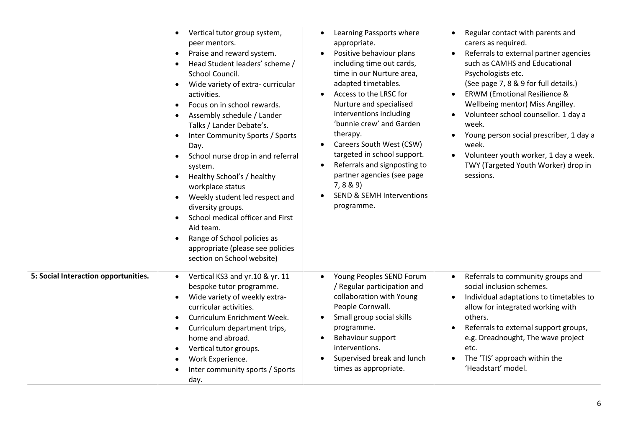|                                      | Vertical tutor group system,<br>$\bullet$<br>peer mentors.<br>Praise and reward system.<br>$\bullet$<br>Head Student leaders' scheme /<br>$\bullet$<br>School Council.<br>Wide variety of extra-curricular<br>$\bullet$<br>activities.<br>Focus on in school rewards.<br>$\bullet$<br>Assembly schedule / Lander<br>$\bullet$<br>Talks / Lander Debate's.<br>Inter Community Sports / Sports<br>Day.<br>School nurse drop in and referral<br>$\bullet$<br>system.<br>Healthy School's / healthy<br>$\bullet$<br>workplace status<br>Weekly student led respect and<br>$\bullet$<br>diversity groups.<br>School medical officer and First<br>Aid team.<br>Range of School policies as<br>appropriate (please see policies<br>section on School website) | Learning Passports where<br>$\bullet$<br>appropriate.<br>Positive behaviour plans<br>including time out cards,<br>time in our Nurture area,<br>adapted timetables.<br>Access to the LRSC for<br>$\bullet$<br>Nurture and specialised<br>interventions including<br>'bunnie crew' and Garden<br>therapy.<br>Careers South West (CSW)<br>$\bullet$<br>targeted in school support.<br>Referrals and signposting to<br>partner agencies (see page<br>7, 8 & 9<br><b>SEND &amp; SEMH Interventions</b><br>programme. | Regular contact with parents and<br>$\bullet$<br>carers as required.<br>Referrals to external partner agencies<br>such as CAMHS and Educational<br>Psychologists etc.<br>(See page 7, 8 & 9 for full details.)<br><b>ERWM (Emotional Resilience &amp;</b><br>$\bullet$<br>Wellbeing mentor) Miss Angilley.<br>Volunteer school counsellor. 1 day a<br>week.<br>Young person social prescriber, 1 day a<br>week.<br>Volunteer youth worker, 1 day a week.<br>TWY (Targeted Youth Worker) drop in<br>sessions. |
|--------------------------------------|--------------------------------------------------------------------------------------------------------------------------------------------------------------------------------------------------------------------------------------------------------------------------------------------------------------------------------------------------------------------------------------------------------------------------------------------------------------------------------------------------------------------------------------------------------------------------------------------------------------------------------------------------------------------------------------------------------------------------------------------------------|-----------------------------------------------------------------------------------------------------------------------------------------------------------------------------------------------------------------------------------------------------------------------------------------------------------------------------------------------------------------------------------------------------------------------------------------------------------------------------------------------------------------|--------------------------------------------------------------------------------------------------------------------------------------------------------------------------------------------------------------------------------------------------------------------------------------------------------------------------------------------------------------------------------------------------------------------------------------------------------------------------------------------------------------|
| 5: Social Interaction opportunities. | Vertical KS3 and yr.10 & yr. 11<br>$\bullet$<br>bespoke tutor programme.<br>Wide variety of weekly extra-<br>$\bullet$<br>curricular activities.<br>Curriculum Enrichment Week.<br>$\bullet$<br>Curriculum department trips,<br>$\bullet$<br>home and abroad.<br>Vertical tutor groups.<br>$\bullet$<br>Work Experience.<br>Inter community sports / Sports<br>day.                                                                                                                                                                                                                                                                                                                                                                                    | Young Peoples SEND Forum<br>/ Regular participation and<br>collaboration with Young<br>People Cornwall.<br>Small group social skills<br>$\bullet$<br>programme.<br>Behaviour support<br>$\bullet$<br>interventions.<br>Supervised break and lunch<br>times as appropriate.                                                                                                                                                                                                                                      | Referrals to community groups and<br>$\bullet$<br>social inclusion schemes.<br>Individual adaptations to timetables to<br>$\bullet$<br>allow for integrated working with<br>others.<br>Referrals to external support groups,<br>e.g. Dreadnought, The wave project<br>etc.<br>The 'TIS' approach within the<br>'Headstart' model.                                                                                                                                                                            |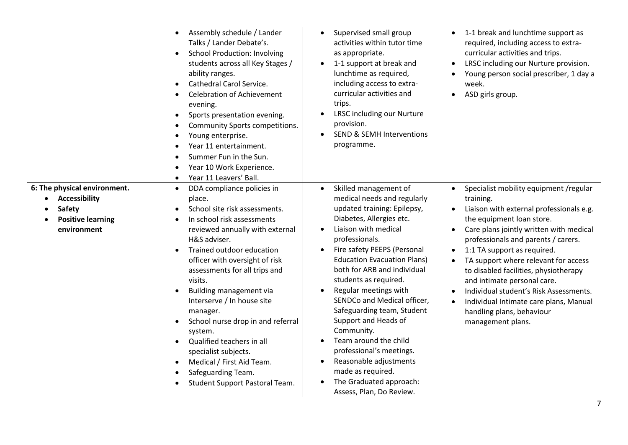|                                                                                                                        | Assembly schedule / Lander<br>Talks / Lander Debate's.<br><b>School Production: Involving</b><br>students across all Key Stages /<br>ability ranges.<br>Cathedral Carol Service.<br><b>Celebration of Achievement</b><br>evening.<br>Sports presentation evening.<br>Community Sports competitions.<br>Young enterprise.<br>Year 11 entertainment.<br>Summer Fun in the Sun.<br>Year 10 Work Experience.<br>Year 11 Leavers' Ball.<br>$\bullet$                                                                                                            | Supervised small group<br>$\bullet$<br>activities within tutor time<br>as appropriate.<br>1-1 support at break and<br>$\bullet$<br>lunchtime as required,<br>including access to extra-<br>curricular activities and<br>trips.<br>LRSC including our Nurture<br>provision.<br><b>SEND &amp; SEMH Interventions</b><br>$\bullet$<br>programme.                                                                                                                                                                                                                                                                                                                            | 1-1 break and lunchtime support as<br>required, including access to extra-<br>curricular activities and trips.<br>LRSC including our Nurture provision.<br>Young person social prescriber, 1 day a<br>week.<br>ASD girls group.                                                                                                                                                                                                                                                                     |
|------------------------------------------------------------------------------------------------------------------------|------------------------------------------------------------------------------------------------------------------------------------------------------------------------------------------------------------------------------------------------------------------------------------------------------------------------------------------------------------------------------------------------------------------------------------------------------------------------------------------------------------------------------------------------------------|--------------------------------------------------------------------------------------------------------------------------------------------------------------------------------------------------------------------------------------------------------------------------------------------------------------------------------------------------------------------------------------------------------------------------------------------------------------------------------------------------------------------------------------------------------------------------------------------------------------------------------------------------------------------------|-----------------------------------------------------------------------------------------------------------------------------------------------------------------------------------------------------------------------------------------------------------------------------------------------------------------------------------------------------------------------------------------------------------------------------------------------------------------------------------------------------|
| 6: The physical environment.<br><b>Accessibility</b><br>$\bullet$<br>Safety<br><b>Positive learning</b><br>environment | DDA compliance policies in<br>$\bullet$<br>place.<br>School site risk assessments.<br>In school risk assessments<br>reviewed annually with external<br>H&S adviser.<br>Trained outdoor education<br>officer with oversight of risk<br>assessments for all trips and<br>visits.<br>Building management via<br>Interserve / In house site<br>manager.<br>School nurse drop in and referral<br>system.<br>Qualified teachers in all<br>$\bullet$<br>specialist subjects.<br>Medical / First Aid Team.<br>Safeguarding Team.<br>Student Support Pastoral Team. | Skilled management of<br>$\bullet$<br>medical needs and regularly<br>updated training: Epilepsy,<br>Diabetes, Allergies etc.<br>Liaison with medical<br>$\bullet$<br>professionals.<br>Fire safety PEEPS (Personal<br>$\bullet$<br><b>Education Evacuation Plans)</b><br>both for ARB and individual<br>students as required.<br>Regular meetings with<br>$\bullet$<br>SENDCo and Medical officer,<br>Safeguarding team, Student<br>Support and Heads of<br>Community.<br>Team around the child<br>$\bullet$<br>professional's meetings.<br>Reasonable adjustments<br>$\bullet$<br>made as required.<br>The Graduated approach:<br>$\bullet$<br>Assess, Plan, Do Review. | Specialist mobility equipment /regular<br>training.<br>Liaison with external professionals e.g.<br>the equipment loan store.<br>Care plans jointly written with medical<br>professionals and parents / carers.<br>1:1 TA support as required.<br>TA support where relevant for access<br>to disabled facilities, physiotherapy<br>and intimate personal care.<br>Individual student's Risk Assessments.<br>Individual Intimate care plans, Manual<br>handling plans, behaviour<br>management plans. |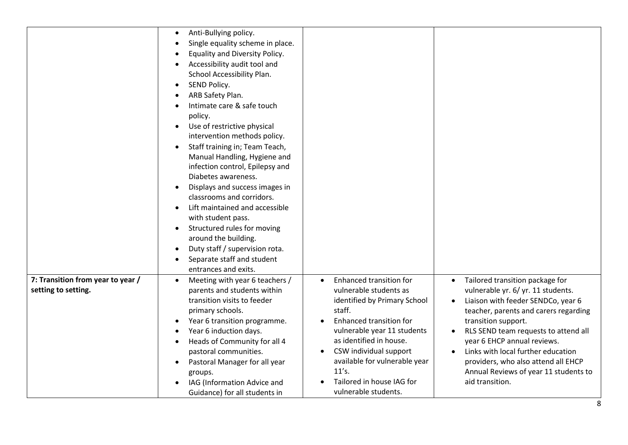|                                   | Anti-Bullying policy.<br>Single equality scheme in place.<br>Equality and Diversity Policy.<br>Accessibility audit tool and<br>School Accessibility Plan.<br>SEND Policy.<br>$\bullet$<br>ARB Safety Plan.<br>Intimate care & safe touch<br>policy.<br>Use of restrictive physical<br>$\bullet$<br>intervention methods policy.<br>Staff training in; Team Teach,<br>Manual Handling, Hygiene and<br>infection control, Epilepsy and<br>Diabetes awareness.<br>Displays and success images in<br>classrooms and corridors.<br>Lift maintained and accessible<br>with student pass.<br>Structured rules for moving<br>$\bullet$<br>around the building.<br>Duty staff / supervision rota.<br>Separate staff and student<br>entrances and exits. |                                                                                                                                                                                                                                                                                             |                                                                                                                                                                                                                                                                                                                                                                       |
|-----------------------------------|------------------------------------------------------------------------------------------------------------------------------------------------------------------------------------------------------------------------------------------------------------------------------------------------------------------------------------------------------------------------------------------------------------------------------------------------------------------------------------------------------------------------------------------------------------------------------------------------------------------------------------------------------------------------------------------------------------------------------------------------|---------------------------------------------------------------------------------------------------------------------------------------------------------------------------------------------------------------------------------------------------------------------------------------------|-----------------------------------------------------------------------------------------------------------------------------------------------------------------------------------------------------------------------------------------------------------------------------------------------------------------------------------------------------------------------|
| 7: Transition from year to year / | Meeting with year 6 teachers /                                                                                                                                                                                                                                                                                                                                                                                                                                                                                                                                                                                                                                                                                                                 | Enhanced transition for<br>$\bullet$                                                                                                                                                                                                                                                        | Tailored transition package for                                                                                                                                                                                                                                                                                                                                       |
| setting to setting.               | parents and students within<br>transition visits to feeder<br>primary schools.<br>Year 6 transition programme.<br>Year 6 induction days.<br>Heads of Community for all 4<br>pastoral communities.<br>Pastoral Manager for all year<br>$\bullet$<br>groups.<br>IAG (Information Advice and<br>Guidance) for all students in                                                                                                                                                                                                                                                                                                                                                                                                                     | vulnerable students as<br>identified by Primary School<br>staff.<br>Enhanced transition for<br>vulnerable year 11 students<br>as identified in house.<br>CSW individual support<br>$\bullet$<br>available for vulnerable year<br>11's.<br>Tailored in house IAG for<br>vulnerable students. | vulnerable yr. 6/ yr. 11 students.<br>Liaison with feeder SENDCo, year 6<br>teacher, parents and carers regarding<br>transition support.<br>RLS SEND team requests to attend all<br>year 6 EHCP annual reviews.<br>Links with local further education<br>$\bullet$<br>providers, who also attend all EHCP<br>Annual Reviews of year 11 students to<br>aid transition. |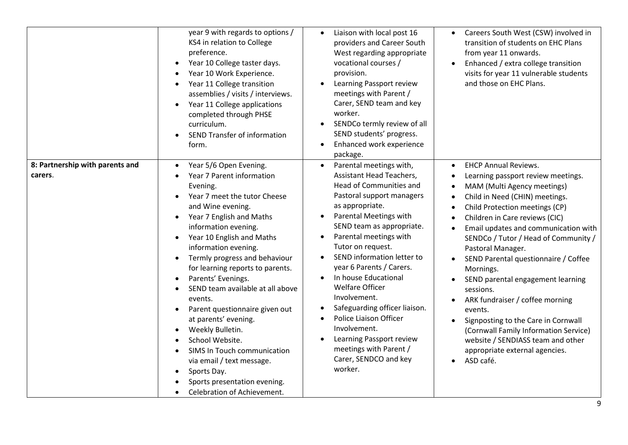|                                            | year 9 with regards to options /<br>KS4 in relation to College<br>preference.<br>Year 10 College taster days.<br>Year 10 Work Experience.<br>$\bullet$<br>Year 11 College transition<br>$\bullet$<br>assemblies / visits / interviews.<br>Year 11 College applications<br>completed through PHSE<br>curriculum.<br>SEND Transfer of information<br>form.                                                                                                                                                                                                                                                                                                                                                                                                          | Liaison with local post 16<br>$\bullet$<br>providers and Career South<br>West regarding appropriate<br>vocational courses /<br>provision.<br>Learning Passport review<br>$\bullet$<br>meetings with Parent /<br>Carer, SEND team and key<br>worker.<br>SENDCo termly review of all<br>SEND students' progress.<br>Enhanced work experience<br>package.                                                                                                                                                                                                                                                                                         | Careers South West (CSW) involved in<br>$\bullet$<br>transition of students on EHC Plans<br>from year 11 onwards.<br>Enhanced / extra college transition<br>visits for year 11 vulnerable students<br>and those on EHC Plans.                                                                                                                                                                                                                                                                                                                                                                                                                                                                                                   |
|--------------------------------------------|-------------------------------------------------------------------------------------------------------------------------------------------------------------------------------------------------------------------------------------------------------------------------------------------------------------------------------------------------------------------------------------------------------------------------------------------------------------------------------------------------------------------------------------------------------------------------------------------------------------------------------------------------------------------------------------------------------------------------------------------------------------------|------------------------------------------------------------------------------------------------------------------------------------------------------------------------------------------------------------------------------------------------------------------------------------------------------------------------------------------------------------------------------------------------------------------------------------------------------------------------------------------------------------------------------------------------------------------------------------------------------------------------------------------------|---------------------------------------------------------------------------------------------------------------------------------------------------------------------------------------------------------------------------------------------------------------------------------------------------------------------------------------------------------------------------------------------------------------------------------------------------------------------------------------------------------------------------------------------------------------------------------------------------------------------------------------------------------------------------------------------------------------------------------|
| 8: Partnership with parents and<br>carers. | Year 5/6 Open Evening.<br>$\bullet$<br>Year 7 Parent information<br>Evening.<br>Year 7 meet the tutor Cheese<br>$\bullet$<br>and Wine evening.<br>Year 7 English and Maths<br>$\bullet$<br>information evening.<br>Year 10 English and Maths<br>$\bullet$<br>information evening.<br>Termly progress and behaviour<br>$\bullet$<br>for learning reports to parents.<br>Parents' Evenings.<br>$\bullet$<br>SEND team available at all above<br>$\bullet$<br>events.<br>Parent questionnaire given out<br>$\bullet$<br>at parents' evening.<br>Weekly Bulletin.<br>$\bullet$<br>School Website.<br>SIMS In Touch communication<br>$\bullet$<br>via email / text message.<br>Sports Day.<br>$\bullet$<br>Sports presentation evening.<br>Celebration of Achievement. | Parental meetings with,<br>$\bullet$<br><b>Assistant Head Teachers,</b><br>Head of Communities and<br>Pastoral support managers<br>as appropriate.<br><b>Parental Meetings with</b><br>$\bullet$<br>SEND team as appropriate.<br>Parental meetings with<br>$\bullet$<br>Tutor on request.<br>SEND information letter to<br>$\bullet$<br>year 6 Parents / Carers.<br>In house Educational<br>$\bullet$<br><b>Welfare Officer</b><br>Involvement.<br>Safeguarding officer liaison.<br>Police Liaison Officer<br>$\bullet$<br>Involvement.<br>Learning Passport review<br>$\bullet$<br>meetings with Parent /<br>Carer, SENDCO and key<br>worker. | <b>EHCP Annual Reviews.</b><br>$\bullet$<br>Learning passport review meetings.<br>$\bullet$<br>MAM (Multi Agency meetings)<br>$\bullet$<br>Child in Need (CHIN) meetings.<br>$\bullet$<br>Child Protection meetings (CP)<br>$\bullet$<br>Children in Care reviews (CIC)<br>$\bullet$<br>Email updates and communication with<br>SENDCo / Tutor / Head of Community /<br>Pastoral Manager.<br>SEND Parental questionnaire / Coffee<br>Mornings.<br>SEND parental engagement learning<br>sessions.<br>ARK fundraiser / coffee morning<br>events.<br>Signposting to the Care in Cornwall<br>$\bullet$<br>(Cornwall Family Information Service)<br>website / SENDIASS team and other<br>appropriate external agencies.<br>ASD café. |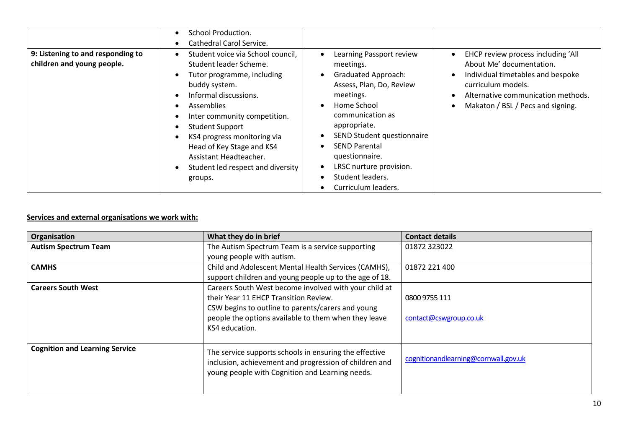| 9: Listening to and responding to<br>children and young people. | School Production.<br>$\bullet$<br>Cathedral Carol Service.<br>٠<br>Student voice via School council,<br>$\bullet$<br>Student leader Scheme.<br>Tutor programme, including<br>٠<br>buddy system.                                                                               | Learning Passport review<br>meetings.<br><b>Graduated Approach:</b><br>Assess, Plan, Do, Review                                                                                                            | EHCP review process including 'All<br>About Me' documentation.<br>Individual timetables and bespoke<br>curriculum models. |
|-----------------------------------------------------------------|--------------------------------------------------------------------------------------------------------------------------------------------------------------------------------------------------------------------------------------------------------------------------------|------------------------------------------------------------------------------------------------------------------------------------------------------------------------------------------------------------|---------------------------------------------------------------------------------------------------------------------------|
|                                                                 | Informal discussions.<br><b>Assemblies</b><br>$\bullet$<br>Inter community competition.<br><b>Student Support</b><br>٠<br>KS4 progress monitoring via<br>$\bullet$<br>Head of Key Stage and KS4<br>Assistant Headteacher.<br>Student led respect and diversity<br>٠<br>groups. | meetings.<br>Home School<br>communication as<br>appropriate.<br>SEND Student questionnaire<br><b>SEND Parental</b><br>questionnaire.<br>LRSC nurture provision.<br>Student leaders.<br>Curriculum leaders. | Alternative communication methods.<br>Makaton / BSL / Pecs and signing.                                                   |

### **Services and external organisations we work with:**

| Organisation                          | What they do in brief                                                                                                                                               | <b>Contact details</b>               |
|---------------------------------------|---------------------------------------------------------------------------------------------------------------------------------------------------------------------|--------------------------------------|
| <b>Autism Spectrum Team</b>           | The Autism Spectrum Team is a service supporting                                                                                                                    | 01872 323022                         |
|                                       | young people with autism.                                                                                                                                           |                                      |
| <b>CAMHS</b>                          | Child and Adolescent Mental Health Services (CAMHS),                                                                                                                | 01872 221 400                        |
|                                       | support children and young people up to the age of 18.                                                                                                              |                                      |
| <b>Careers South West</b>             | Careers South West become involved with your child at                                                                                                               |                                      |
|                                       | their Year 11 EHCP Transition Review.                                                                                                                               | 0800 9755 111                        |
|                                       | CSW begins to outline to parents/carers and young                                                                                                                   |                                      |
|                                       | people the options available to them when they leave                                                                                                                | contact@cswgroup.co.uk               |
|                                       | KS4 education.                                                                                                                                                      |                                      |
|                                       |                                                                                                                                                                     |                                      |
| <b>Cognition and Learning Service</b> | The service supports schools in ensuring the effective<br>inclusion, achievement and progression of children and<br>young people with Cognition and Learning needs. | cognitionandlearning@cornwall.gov.uk |
|                                       |                                                                                                                                                                     |                                      |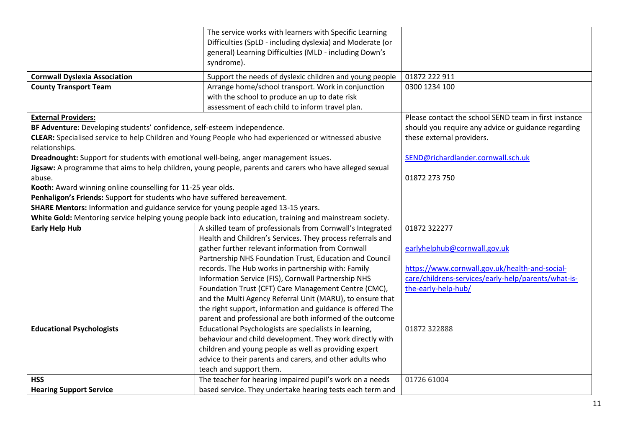|                                                                                       | The service works with learners with Specific Learning<br>Difficulties (SpLD - including dyslexia) and Moderate (or                                                                                                                                                                                                                                                                                                                                     |                                                       |
|---------------------------------------------------------------------------------------|---------------------------------------------------------------------------------------------------------------------------------------------------------------------------------------------------------------------------------------------------------------------------------------------------------------------------------------------------------------------------------------------------------------------------------------------------------|-------------------------------------------------------|
|                                                                                       | general) Learning Difficulties (MLD - including Down's<br>syndrome).                                                                                                                                                                                                                                                                                                                                                                                    |                                                       |
| <b>Cornwall Dyslexia Association</b>                                                  | Support the needs of dyslexic children and young people                                                                                                                                                                                                                                                                                                                                                                                                 | 01872 222 911                                         |
| <b>County Transport Team</b>                                                          | Arrange home/school transport. Work in conjunction                                                                                                                                                                                                                                                                                                                                                                                                      | 0300 1234 100                                         |
|                                                                                       | with the school to produce an up to date risk                                                                                                                                                                                                                                                                                                                                                                                                           |                                                       |
|                                                                                       | assessment of each child to inform travel plan.                                                                                                                                                                                                                                                                                                                                                                                                         |                                                       |
| <b>External Providers:</b>                                                            |                                                                                                                                                                                                                                                                                                                                                                                                                                                         | Please contact the school SEND team in first instance |
| BF Adventure: Developing students' confidence, self-esteem independence.              |                                                                                                                                                                                                                                                                                                                                                                                                                                                         | should you require any advice or guidance regarding   |
|                                                                                       | CLEAR: Specialised service to help Children and Young People who had experienced or witnessed abusive                                                                                                                                                                                                                                                                                                                                                   | these external providers.                             |
| relationships.                                                                        |                                                                                                                                                                                                                                                                                                                                                                                                                                                         |                                                       |
| Dreadnought: Support for students with emotional well-being, anger management issues. |                                                                                                                                                                                                                                                                                                                                                                                                                                                         | SEND@richardlander.cornwall.sch.uk                    |
|                                                                                       | Jigsaw: A programme that aims to help children, young people, parents and carers who have alleged sexual                                                                                                                                                                                                                                                                                                                                                |                                                       |
| abuse.                                                                                |                                                                                                                                                                                                                                                                                                                                                                                                                                                         | 01872 273 750                                         |
| Kooth: Award winning online counselling for 11-25 year olds.                          |                                                                                                                                                                                                                                                                                                                                                                                                                                                         |                                                       |
| Penhaligon's Friends: Support for students who have suffered bereavement.             |                                                                                                                                                                                                                                                                                                                                                                                                                                                         |                                                       |
| SHARE Mentors: Information and guidance service for young people aged 13-15 years.    |                                                                                                                                                                                                                                                                                                                                                                                                                                                         |                                                       |
|                                                                                       | White Gold: Mentoring service helping young people back into education, training and mainstream society.                                                                                                                                                                                                                                                                                                                                                |                                                       |
| <b>Early Help Hub</b>                                                                 | A skilled team of professionals from Cornwall's Integrated                                                                                                                                                                                                                                                                                                                                                                                              | 01872 322277                                          |
|                                                                                       | Health and Children's Services. They process referrals and                                                                                                                                                                                                                                                                                                                                                                                              |                                                       |
|                                                                                       | gather further relevant information from Cornwall                                                                                                                                                                                                                                                                                                                                                                                                       | earlyhelphub@cornwall.gov.uk                          |
|                                                                                       | Partnership NHS Foundation Trust, Education and Council                                                                                                                                                                                                                                                                                                                                                                                                 |                                                       |
|                                                                                       | records. The Hub works in partnership with: Family                                                                                                                                                                                                                                                                                                                                                                                                      | https://www.cornwall.gov.uk/health-and-social-        |
|                                                                                       | Information Service (FIS), Cornwall Partnership NHS                                                                                                                                                                                                                                                                                                                                                                                                     | care/childrens-services/early-help/parents/what-is-   |
|                                                                                       | Foundation Trust (CFT) Care Management Centre (CMC),                                                                                                                                                                                                                                                                                                                                                                                                    | the-early-help-hub/                                   |
|                                                                                       | and the Multi Agency Referral Unit (MARU), to ensure that                                                                                                                                                                                                                                                                                                                                                                                               |                                                       |
|                                                                                       | the right support, information and guidance is offered The                                                                                                                                                                                                                                                                                                                                                                                              |                                                       |
|                                                                                       |                                                                                                                                                                                                                                                                                                                                                                                                                                                         |                                                       |
|                                                                                       |                                                                                                                                                                                                                                                                                                                                                                                                                                                         |                                                       |
|                                                                                       |                                                                                                                                                                                                                                                                                                                                                                                                                                                         |                                                       |
|                                                                                       |                                                                                                                                                                                                                                                                                                                                                                                                                                                         |                                                       |
|                                                                                       |                                                                                                                                                                                                                                                                                                                                                                                                                                                         |                                                       |
|                                                                                       |                                                                                                                                                                                                                                                                                                                                                                                                                                                         |                                                       |
|                                                                                       |                                                                                                                                                                                                                                                                                                                                                                                                                                                         |                                                       |
| <b>Educational Psychologists</b><br><b>HSS</b><br><b>Hearing Support Service</b>      | parent and professional are both informed of the outcome<br>Educational Psychologists are specialists in learning,<br>behaviour and child development. They work directly with<br>children and young people as well as providing expert<br>advice to their parents and carers, and other adults who<br>teach and support them.<br>The teacher for hearing impaired pupil's work on a needs<br>based service. They undertake hearing tests each term and | 01872 322888<br>01726 61004                           |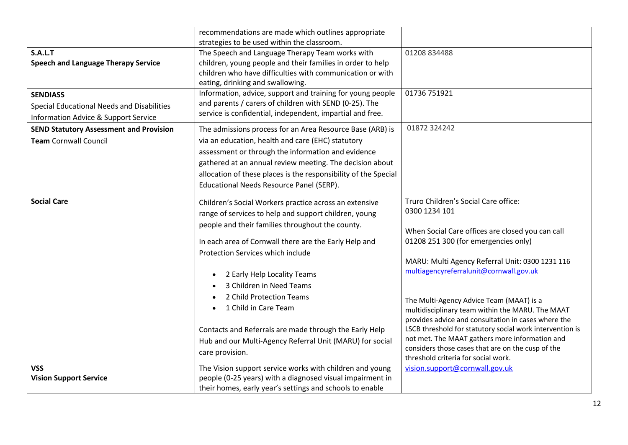|                                                 | recommendations are made which outlines appropriate             |                                                                                                            |
|-------------------------------------------------|-----------------------------------------------------------------|------------------------------------------------------------------------------------------------------------|
|                                                 | strategies to be used within the classroom.                     |                                                                                                            |
| <b>S.A.L.T</b>                                  | The Speech and Language Therapy Team works with                 | 01208 834488                                                                                               |
| <b>Speech and Language Therapy Service</b>      | children, young people and their families in order to help      |                                                                                                            |
|                                                 | children who have difficulties with communication or with       |                                                                                                            |
|                                                 | eating, drinking and swallowing.                                |                                                                                                            |
| <b>SENDIASS</b>                                 | Information, advice, support and training for young people      | 01736 751921                                                                                               |
| Special Educational Needs and Disabilities      | and parents / carers of children with SEND (0-25). The          |                                                                                                            |
| <b>Information Advice &amp; Support Service</b> | service is confidential, independent, impartial and free.       |                                                                                                            |
| <b>SEND Statutory Assessment and Provision</b>  | The admissions process for an Area Resource Base (ARB) is       | 01872 324242                                                                                               |
| <b>Team Cornwall Council</b>                    | via an education, health and care (EHC) statutory               |                                                                                                            |
|                                                 | assessment or through the information and evidence              |                                                                                                            |
|                                                 | gathered at an annual review meeting. The decision about        |                                                                                                            |
|                                                 | allocation of these places is the responsibility of the Special |                                                                                                            |
|                                                 | Educational Needs Resource Panel (SERP).                        |                                                                                                            |
|                                                 |                                                                 | Truro Children's Social Care office:                                                                       |
| <b>Social Care</b>                              | Children's Social Workers practice across an extensive          | 0300 1234 101                                                                                              |
|                                                 | range of services to help and support children, young           |                                                                                                            |
|                                                 | people and their families throughout the county.                | When Social Care offices are closed you can call                                                           |
|                                                 | In each area of Cornwall there are the Early Help and           | 01208 251 300 (for emergencies only)                                                                       |
|                                                 | Protection Services which include                               |                                                                                                            |
|                                                 |                                                                 | MARU: Multi Agency Referral Unit: 0300 1231 116                                                            |
|                                                 | 2 Early Help Locality Teams<br>$\bullet$                        | multiagencyreferralunit@cornwall.gov.uk                                                                    |
|                                                 | 3 Children in Need Teams                                        |                                                                                                            |
|                                                 | 2 Child Protection Teams                                        |                                                                                                            |
|                                                 | 1 Child in Care Team                                            | The Multi-Agency Advice Team (MAAT) is a                                                                   |
|                                                 |                                                                 | multidisciplinary team within the MARU. The MAAT                                                           |
|                                                 |                                                                 | provides advice and consultation in cases where the                                                        |
|                                                 | Contacts and Referrals are made through the Early Help          | LSCB threshold for statutory social work intervention is<br>not met. The MAAT gathers more information and |
|                                                 | Hub and our Multi-Agency Referral Unit (MARU) for social        | considers those cases that are on the cusp of the                                                          |
|                                                 | care provision.                                                 | threshold criteria for social work.                                                                        |
| <b>VSS</b>                                      | The Vision support service works with children and young        | vision.support@cornwall.gov.uk                                                                             |
| <b>Vision Support Service</b>                   | people (0-25 years) with a diagnosed visual impairment in       |                                                                                                            |
|                                                 | their homes, early year's settings and schools to enable        |                                                                                                            |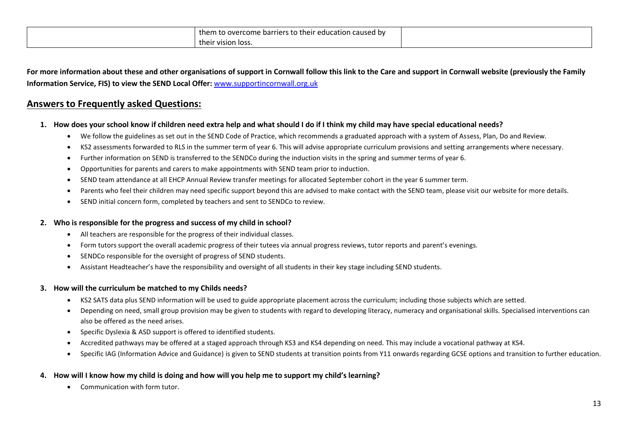| them to overcome barriers to their education<br>i caused by |  |
|-------------------------------------------------------------|--|
| their vision loss.                                          |  |

**For more information about these and other organisations of support in Cornwall follow this link to the Care and support in Cornwall website (previously the Family Information Service, FIS) to view the SEND Local Offer:** [www.supportincornwall.org.uk](http://www.supportincornwall.org.uk/)

## **Answers to Frequently asked Questions:**

- **1. How does your school know if children need extra help and what should I do if I think my child may have special educational needs?** 
	- We follow the guidelines as set out in the SEND Code of Practice, which recommends a graduated approach with a system of Assess, Plan, Do and Review.
	- KS2 assessments forwarded to RLS in the summer term of year 6. This will advise appropriate curriculum provisions and setting arrangements where necessary.
	- Further information on SEND is transferred to the SENDCo during the induction visits in the spring and summer terms of year 6.
	- Opportunities for parents and carers to make appointments with SEND team prior to induction.
	- SEND team attendance at all EHCP Annual Review transfer meetings for allocated September cohort in the year 6 summer term.
	- Parents who feel their children may need specific support beyond this are advised to make contact with the SEND team, please visit our website for more details.
	- SEND initial concern form, completed by teachers and sent to SENDCo to review.

#### **2. Who is responsible for the progress and success of my child in school?**

- All teachers are responsible for the progress of their individual classes.
- Form tutors support the overall academic progress of their tutees via annual progress reviews, tutor reports and parent's evenings.
- SENDCo responsible for the oversight of progress of SEND students.
- Assistant Headteacher's have the responsibility and oversight of all students in their key stage including SEND students.

#### **3. How will the curriculum be matched to my Childs needs?**

- KS2 SATS data plus SEND information will be used to guide appropriate placement across the curriculum; including those subjects which are setted.
- Depending on need, small group provision may be given to students with regard to developing literacy, numeracy and organisational skills. Specialised interventions can also be offered as the need arises.
- Specific Dyslexia & ASD support is offered to identified students.
- Accredited pathways may be offered at a staged approach through KS3 and KS4 depending on need. This may include a vocational pathway at KS4.
- Specific IAG (Information Advice and Guidance) is given to SEND students at transition points from Y11 onwards regarding GCSE options and transition to further education.

### **4. How will I know how my child is doing and how will you help me to support my child's learning?**

Communication with form tutor.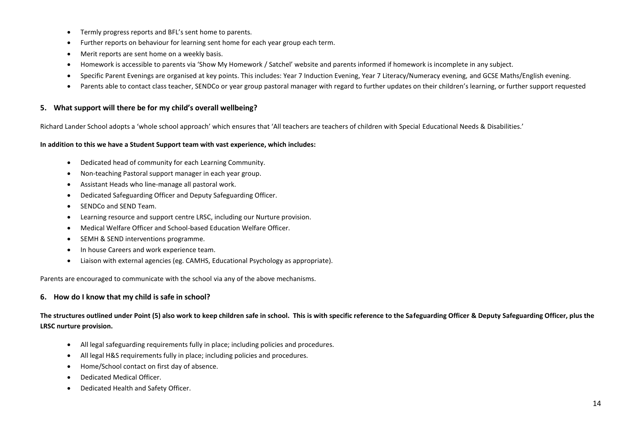- Termly progress reports and BFL's sent home to parents.
- Further reports on behaviour for learning sent home for each year group each term.
- Merit reports are sent home on a weekly basis.
- Homework is accessible to parents via 'Show My Homework / Satchel' website and parents informed if homework is incomplete in any subject.
- Specific Parent Evenings are organised at key points. This includes: Year 7 Induction Evening, Year 7 Literacy/Numeracy evening, and GCSE Maths/English evening.
- Parents able to contact class teacher, SENDCo or year group pastoral manager with regard to further updates on their children's learning, or further support requested

#### **5. What support will there be for my child's overall wellbeing?**

Richard Lander School adopts a 'whole school approach' which ensures that 'All teachers are teachers of children with Special Educational Needs & Disabilities.'

#### **In addition to this we have a Student Support team with vast experience, which includes:**

- Dedicated head of community for each Learning Community.
- Non-teaching Pastoral support manager in each year group.
- Assistant Heads who line-manage all pastoral work.
- Dedicated Safeguarding Officer and Deputy Safeguarding Officer.
- SENDCo and SEND Team.
- Learning resource and support centre LRSC, including our Nurture provision.
- Medical Welfare Officer and School-based Education Welfare Officer.
- SEMH & SEND interventions programme.
- In house Careers and work experience team.
- Liaison with external agencies (eg. CAMHS, Educational Psychology as appropriate).

Parents are encouraged to communicate with the school via any of the above mechanisms.

#### **6. How do I know that my child is safe in school?**

**The structures outlined under Point (5) also work to keep children safe in school. This is with specific reference to the Safeguarding Officer & Deputy Safeguarding Officer, plus the LRSC nurture provision.**

- All legal safeguarding requirements fully in place; including policies and procedures.
- All legal H&S requirements fully in place; including policies and procedures.
- Home/School contact on first day of absence.
- Dedicated Medical Officer.
- Dedicated Health and Safety Officer.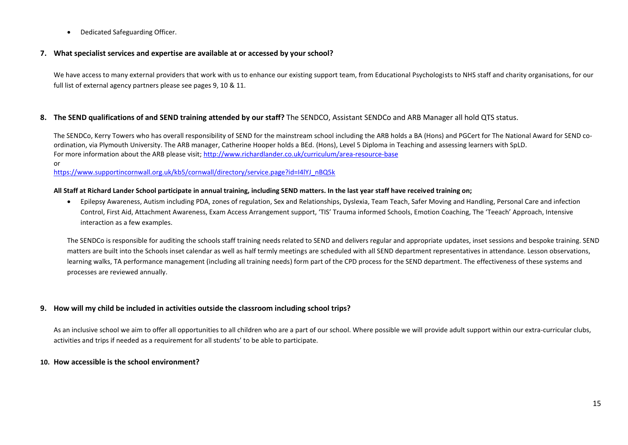Dedicated Safeguarding Officer.

#### **7. What specialist services and expertise are available at or accessed by your school?**

We have access to many external providers that work with us to enhance our existing support team, from Educational Psychologists to NHS staff and charity organisations, for our full list of external agency partners please see pages 9, 10 & 11.

### **8. The SEND qualifications of and SEND training attended by our staff?** The SENDCO, Assistant SENDCo and ARB Manager all hold QTS status.

The SENDCo, Kerry Towers who has overall responsibility of SEND for the mainstream school including the ARB holds a BA (Hons) and PGCert for The National Award for SEND coordination, via Plymouth University. The ARB manager, Catherine Hooper holds a BEd. (Hons), Level 5 Diploma in Teaching and assessing learners with SpLD. For more information about the ARB please visit;<http://www.richardlander.co.uk/curriculum/area-resource-base> or

[https://www.supportincornwall.org.uk/kb5/cornwall/directory/service.page?id=I4lYJ\\_nBQ5k](https://www.supportincornwall.org.uk/kb5/cornwall/directory/service.page?id=I4lYJ_nBQ5k)

#### **All Staff at Richard Lander School participate in annual training, including SEND matters. In the last year staff have received training on;**

 Epilepsy Awareness, Autism including PDA, zones of regulation, Sex and Relationships, Dyslexia, Team Teach, Safer Moving and Handling, Personal Care and infection Control, First Aid, Attachment Awareness, Exam Access Arrangement support, 'TIS' Trauma informed Schools, Emotion Coaching, The 'Teeach' Approach, Intensive interaction as a few examples.

The SENDCo is responsible for auditing the schools staff training needs related to SEND and delivers regular and appropriate updates, inset sessions and bespoke training. SEND matters are built into the Schools inset calendar as well as half termly meetings are scheduled with all SEND department representatives in attendance. Lesson observations, learning walks, TA performance management (including all training needs) form part of the CPD process for the SEND department. The effectiveness of these systems and processes are reviewed annually.

#### **9. How will my child be included in activities outside the classroom including school trips?**

As an inclusive school we aim to offer all opportunities to all children who are a part of our school. Where possible we will provide adult support within our extra-curricular clubs, activities and trips if needed as a requirement for all students' to be able to participate.

#### **10. How accessible is the school environment?**